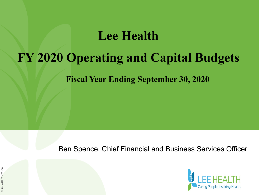### **Lee Health**

### **FY 2020 Operating and Capital Budgets**

**Fiscal Year Ending September 30, 2020**

Ben Spence, Chief Financial and Business Services Officer

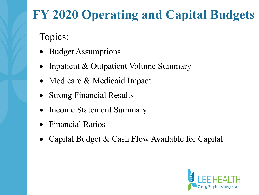# **FY 2020 Operating and Capital Budgets**

Topics:

- Budget Assumptions
- Inpatient & Outpatient Volume Summary
- Medicare & Medicaid Impact
- Strong Financial Results
- Income Statement Summary
- Financial Ratios
- Capital Budget & Cash Flow Available for Capital

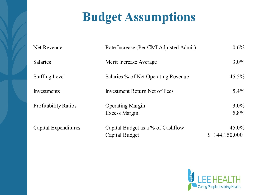# **Budget Assumptions**

| Net Revenue                 | Rate Increase (Per CMI Adjusted Admit)              | $0.6\%$                   |
|-----------------------------|-----------------------------------------------------|---------------------------|
| <b>Salaries</b>             | Merit Increase Average                              | $3.0\%$                   |
| <b>Staffing Level</b>       | Salaries % of Net Operating Revenue                 | $45.5\%$                  |
| Investments                 | Investment Return Net of Fees                       | $5.4\%$                   |
| <b>Profitability Ratios</b> | <b>Operating Margin</b><br>Excess Margin            | $3.0\%$<br>$5.8\%$        |
| Capital Expenditures        | Capital Budget as a % of Cashflow<br>Capital Budget | $45.0\%$<br>\$144,150,000 |

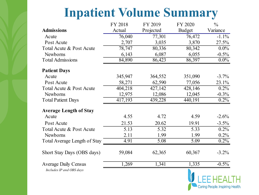## **Inpatient Volume Summary**

|                               | FY 2018 | FY 2019   | FY 2020       | $\frac{0}{0}$ |
|-------------------------------|---------|-----------|---------------|---------------|
| <b>Admissions</b>             | Actual  | Projected | <b>Budget</b> | Variance      |
| Acute                         | 76,040  | 77,301    | 76,472        | $-1.1\%$      |
| Post Acute                    | 2,707   | 3,035     | 3,870         | 27.5%         |
| Total Acute & Post Acute      | 78,747  | 80,336    | 80,342        | $0.0\%$       |
| Newborns                      | 6,143   | 6,087     | 6,055         | $-0.5%$       |
| <b>Total Admissions</b>       | 84,890  | 86,423    | 86,397        | $0.0\%$       |
| <b>Patient Days</b>           |         |           |               |               |
| Acute                         | 345,947 | 364,552   | 351,090       | $-3.7%$       |
| Post Acute                    | 58,271  | 62,590    | 77,056        | 23.1%         |
| Total Acute & Post Acute      | 404,218 | 427,142   | 428,146       | 0.2%          |
| Newborns                      | 12,975  | 12,086    | 12,045        | $-0.3\%$      |
| <b>Total Patient Days</b>     | 417,193 | 439,228   | 440,191       | $0.2\%$       |
| <b>Average Length of Stay</b> |         |           |               |               |
| Acute                         | 4.55    | 4.72      | 4.59          | $-2.6%$       |
| Post Acute                    | 21.53   | 20.62     | 19.91         | $-3.5\%$      |
| Total Acute & Post Acute      | 5.13    | 5.32      | 5.33          | $0.2\%$       |
| Newborns                      | 2.11    | 1.99      | 1.99          | $0.2\%$       |
| Total Average Length of Stay  | 4.91    | 5.08      | 5.09          | $0.2\%$       |
| Short Stay Days (OBS days)    | 59,084  | 62,365    | 60,367        | $-3.2\%$      |
| <b>Average Daily Census</b>   | 1,269   | 1,341     | 1,335         | $-0.5\%$      |
| Includes IP and OBS days      |         |           |               |               |

Caring People. Inspiring Health.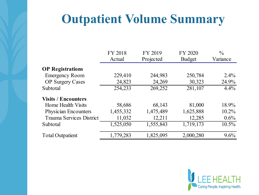## **Outpatient Volume Summary**

|                                 | FY 2018   | FY 2019   | FY 2020       | $\frac{0}{0}$ |
|---------------------------------|-----------|-----------|---------------|---------------|
|                                 | Actual    | Projected | <b>Budget</b> | Variance      |
| <b>OP</b> Registrations         |           |           |               |               |
| <b>Emergency Room</b>           | 229,410   | 244,983   | 250,784       | $2.4\%$       |
| <b>OP</b> Surgery Cases         | 24,823    | 24,269    | 30,323        | 24.9%         |
| Subtotal                        | 254,233   | 269,252   | 281,107       | $4.4\%$       |
| <b>Visits / Encounters</b>      |           |           |               |               |
| Home Health Visits              | 58,686    | 68,143    | 81,000        | 18.9%         |
| Physician Encounters            | 1,455,332 | 1,475,489 | 1,625,888     | $10.2\%$      |
| <b>Trauma Services District</b> | 11,032    | 12,211    | 12,285        | $0.6\%$       |
| Subtotal                        | 1,525,050 | 1,555,843 | 1,719,173     | $10.5\%$      |
| <b>Total Outpatient</b>         | 1,779,283 | 1,825,095 | 2,000,280     | 9.6%          |

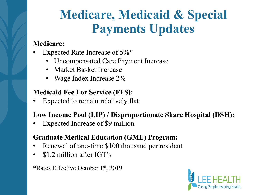# **Medicare, Medicaid & Special Payments Updates**

### **Medicare:**

- Expected Rate Increase of 5%\*
	- Uncompensated Care Payment Increase
	- Market Basket Increase
	- Wage Index Increase 2%

### **Medicaid Fee For Service (FFS):**

Expected to remain relatively flat

### **Low Income Pool (LIP) / Disproportionate Share Hospital (DSH):**

• Expected Increase of \$9 million

### **Graduate Medical Education (GME) Program:**

- Renewal of one-time \$100 thousand per resident
- \$1.2 million after IGT's

#### \*Rates Effective October 1st, 2019

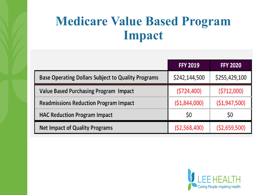## **Medicare Value Based Program Impact**

|                                                           | <b>FFY 2019</b> | <b>FFY 2020</b> |
|-----------------------------------------------------------|-----------------|-----------------|
| <b>Base Operating Dollars Subject to Quality Programs</b> | \$242,144,500   | \$255,429,100   |
| <b>Value Based Purchasing Program Impact</b>              | (5724, 400)     | (5712,000)      |
| <b>Readmissions Reduction Program Impact</b>              | (51,844,000)    | (51, 947, 500)  |
| <b>HAC Reduction Program Impact</b>                       | \$0             | Ş <sub>0</sub>  |
| <b>Net Impact of Quality Programs</b>                     | (52, 568, 400)  | (52,659,500)    |

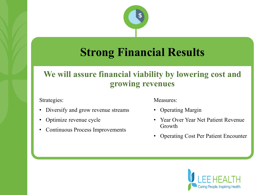

### **Strong Financial Results**

### **We will assure financial viability by lowering cost and growing revenues**

Strategies:

- Diversify and grow revenue streams
- Optimize revenue cycle
- Continuous Process Improvements

Measures:

- Operating Margin
- Year Over Year Net Patient Revenue Growth
- Operating Cost Per Patient Encounter

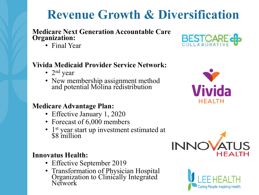## **Revenue Growth & Diversification**

#### **Medicare Next Generation Accountable Care Organization:**

• Final Year

### **Vivida Medicaid Provider Service Network:**

- $2<sup>nd</sup>$  year
- New membership assignment method and potential Molina redistribution

#### **Medicare Advantage Plan:**

- Effective January 1, 2020
- Forecast of 6,000 members
- 1<sup>st</sup> year start up investment estimated at \$8 million

### **Innovatus Health:**

- Effective September 2019
- Transformation of Physician Hospital Organization to Clinically Integrated Network







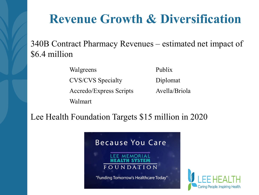## **Revenue Growth & Diversification**

340B Contract Pharmacy Revenues – estimated net impact of \$6.4 million

Walgreens

Publix

CVS/CVS Specialty

Accredo/Express Scripts

Diplomat

Avella/Briola

Walmart

Lee Health Foundation Targets \$15 million in 2020



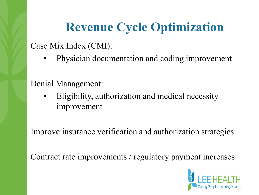# **Revenue Cycle Optimization**

Case Mix Index (CMI):

• Physician documentation and coding improvement

Denial Management:

• Eligibility, authorization and medical necessity improvement

Improve insurance verification and authorization strategies

Contract rate improvements / regulatory payment increases

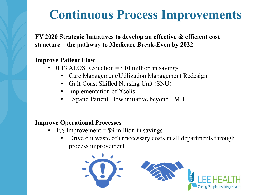## **Continuous Process Improvements**

**FY 2020 Strategic Initiatives to develop an effective & efficient cost structure – the pathway to Medicare Break-Even by 2022** 

#### **Improve Patient Flow**

- 0.13 ALOS Reduction  $= $10$  million in savings
	- Care Management/Utilization Management Redesign
	- Gulf Coast Skilled Nursing Unit (SNU)
	- Implementation of Xsolis
	- Expand Patient Flow initiative beyond LMH

#### **Improve Operational Processes**

- $1\%$  Improvement = \$9 million in savings
	- Drive out waste of unnecessary costs in all departments through process improvement

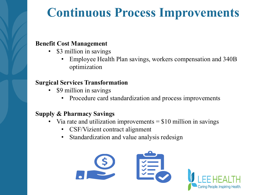### **Continuous Process Improvements**

#### **Benefit Cost Management**

- \$3 million in savings
	- Employee Health Plan savings, workers compensation and 340B optimization

#### **Surgical Services Transformation**

- \$9 million in savings
	- Procedure card standardization and process improvements

#### **Supply & Pharmacy Savings**

- Via rate and utilization improvements  $= $10$  million in savings
	- CSF/Vizient contract alignment
	- Standardization and value analysis redesign

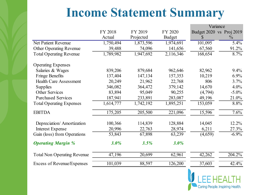### **Income Statement Summary**

|                                    |           |           |               |              | Variance                 |
|------------------------------------|-----------|-----------|---------------|--------------|--------------------------|
|                                    | FY 2018   | FY 2019   | FY 2020       |              | Budget 2020 vs Proj 2019 |
|                                    | Actual    | Projected | <b>Budget</b> | $\mathbb{S}$ | $\frac{0}{0}$            |
| Net Patient Revenue                | 1,750,494 | 1,873,596 | 1,974,691     | 101,095      | 5.4%                     |
| <b>Other Operating Revenue</b>     | 39,488    | 74,096    | 141,656       | 67,560       | 91.2%                    |
| <b>Total Operating Revenue</b>     | 1,789,982 | 1,947,692 | 2,116,346     | 168,654      | 8.7%                     |
| <b>Operating Expenses</b>          |           |           |               |              |                          |
| Salaries & Wages                   | 839,206   | 879,684   | 962,646       | 82,962       | 9.4%                     |
| <b>Fringe Benefits</b>             | 137,404   | 147,134   | 157,353       | 10,219       | 6.9%                     |
| <b>Health Care Assessment</b>      | 20,249    | 21,962    | 22,768        | 806          | 3.7%                     |
| <b>Supplies</b>                    | 346,082   | 364,472   | 379,142       | 14,670       | 4.0%                     |
| <b>Other Services</b>              | 83,894    | 95,049    | 90,255        | (4,794)      | $-5.0\%$                 |
| <b>Purchased Services</b>          | 187,941   | 233,891   | 283,087       | 49,196       | 21.0%                    |
| <b>Total Operating Expenses</b>    | 1,614,777 | 1,742,192 | 1,895,251     | 153,059      | 8.8%                     |
| <b>EBITDA</b>                      | 175,205   | 205,500   | 221,096       | 15,596       | 7.6%                     |
| Depreciation/Amortization          | 100,366   | 114,839   | 128,884       | 14,045       | 12.2%                    |
| <b>Interest Expense</b>            | 20,996    | 22,763    | 28,974        | 6,211        | 27.3%                    |
| Gain (loss) from Operations        | 53,843    | 67,898    | 63,239        | (4,659)      | $-6.9\%$                 |
| <b>Operating Margin %</b>          | $3.0\%$   | 3.5%      | 3.0%          |              |                          |
| <b>Total Non Operating Revenue</b> | 47,196    | 20,699    | 62,961        | 42,262       | 204.2%                   |
| Excess of Revenue/Expenses         | 101,039   | 88,597    | 126,200       | 37,603       | 42.4%                    |

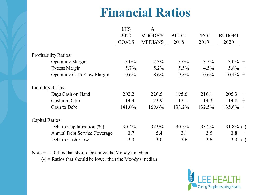## **Financial Ratios**

|                                     | <b>LHS</b>   | A              |              |          |               |
|-------------------------------------|--------------|----------------|--------------|----------|---------------|
|                                     | 2020         | MOODY'S        | <b>AUDIT</b> | PROJ     | <b>BUDGET</b> |
|                                     | <b>GOALS</b> | <b>MEDIANS</b> | 2018         | 2019     | 2020          |
| <b>Profitability Ratios:</b>        |              |                |              |          |               |
| <b>Operating Margin</b>             | $3.0\%$      | $2.3\%$        | $3.0\%$      | $3.5\%$  | $3.0\%$ +     |
| <b>Excess Margin</b>                | $5.7\%$      | $5.2\%$        | $5.5\%$      | $4.5\%$  | $5.8\%$ +     |
| <b>Operating Cash Flow Margin</b>   | 10.6%        | $8.6\%$        | 9.8%         | $10.6\%$ | $10.4\% +$    |
| <b>Liquidity Ratios:</b>            |              |                |              |          |               |
| Days Cash on Hand                   | 202.2        | 226.5          | 195.6        | 216.1    | 205.3<br>$+$  |
| <b>Cushion Ratio</b>                | 14.4         | 23.9           | 13.1         | 14.3     | 14.8<br>$+$   |
| Cash to Debt                        | 141.0%       | 169.6%         | 133.2%       | 132.5%   | $135.6\%$ +   |
| Capital Ratios:                     |              |                |              |          |               |
| Debt to Capitalization $(\%)$       | 30.4%        | 32.9%          | 30.5%        | 33.2%    | $31.8\%$ (-)  |
| <b>Annual Debt Service Coverage</b> | 3.7          | 5.4            | 3.1          | 3.5      | 3.8<br>$+$    |
| Debt to Cash Flow                   | 3.3          | 3.0            | 3.6          | 3.6      | 3.3<br>$(-)$  |

Note  $+$  = Ratios that should be above the Moody's median

 $(-)$  = Ratios that should be lower than the Moody's median